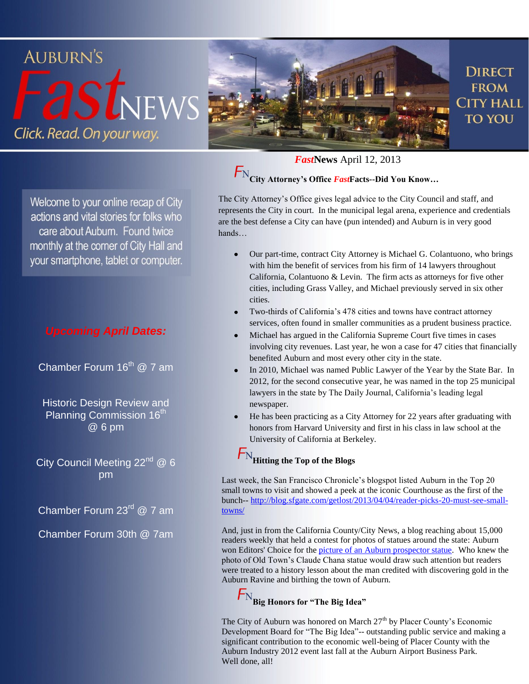

Welcome to your online recap of City actions and vital stories for folks who care about Auburn. Found twice monthly at the corner of City Hall and your smartphone, tablet or computer.

#### *Upcoming April Dates:*

Chamber Forum 16<sup>th</sup> @ 7 am

Historic Design Review and Planning Commission 16<sup>th</sup> @ 6 pm

City Council Meeting  $22^{nd}$  @ 6 pm

Chamber Forum 23<sup>rd</sup> @ 7 am

Chamber Forum 30th @ 7am

*Fast***News** April 12, 2013

**City Attorney's Office** *Fast***Facts--Did You Know…**

The City Attorney's Office gives legal advice to the City Council and staff, and represents the City in court. In the municipal legal arena, experience and credentials are the best defense a City can have (pun intended) and Auburn is in very good hands…

- Our part-time, contract City Attorney is Michael G. Colantuono, who brings with him the benefit of services from his firm of 14 lawyers throughout California, Colantuono & Levin. The firm acts as attorneys for five other cities, including Grass Valley, and Michael previously served in six other cities.
- Two-thirds of California's 478 cities and towns have contract attorney services, often found in smaller communities as a prudent business practice.
- Michael has argued in the California Supreme Court five times in cases involving city revenues. Last year, he won a case for 47 cities that financially benefited Auburn and most every other city in the state.
- In 2010, Michael was named Public Lawyer of the Year by the State Bar. In 2012, for the second consecutive year, he was named in the top 25 municipal lawyers in the state by The Daily Journal, California's leading legal newspaper.
- He has been practicing as a City Attorney for 22 years after graduating with honors from Harvard University and first in his class in law school at the University of California at Berkeley.

## **Hitting the Top of the Blogs**

Last week, the San Francisco Chronicle's blogspot listed Auburn in the Top 20 small towns to visit and showed a peek at the iconic Courthouse as the first of the bunch-- [http://blog.sfgate.com/getlost/2013/04/04/reader-picks-20-must-see-small](http://blog.sfgate.com/getlost/2013/04/04/reader-picks-20-must-see-small-towns/)[towns/](http://blog.sfgate.com/getlost/2013/04/04/reader-picks-20-must-see-small-towns/)

And, just in from the California County/City News, a blog reaching about 15,000 readers weekly that held a contest for photos of statues around the state: Auburn won Editors' Choice for the [picture of an Auburn prospector statue.](http://r20.rs6.net/tn.jsp?e=001o9ubTv6EUUPRxpSlO-Ql0ejLf3GzZ_qRs_-cK6xWHJbjA--i8E9Pt6yqOarUOEYZOL7XplXk7bUWW3SroCb8FDTRJalf2E1eRHYCzNwlgorvetzBzR54cj5o9BLje9ycNq0FeQOTyU-GO0BBp5EA7OGiJZpBqaFbI9eHLQJhmb35YQvqJC24rzmo6zVzmUoEKNnY2g-kA1BkzH34lJywFQ==) Who knew the photo of Old Town's Claude Chana statue would draw such attention but readers were treated to a history lesson about the man credited with discovering gold in the Auburn Ravine and birthing the town of Auburn.

### **Big Honors for "The Big Idea"**

The City of Auburn was honored on March  $27<sup>th</sup>$  by Placer County's Economic Development Board for "The Big Idea"-- outstanding public service and making a significant contribution to the economic well-being of Placer County with the Auburn Industry 2012 event last fall at the Auburn Airport Business Park. Well done, all!